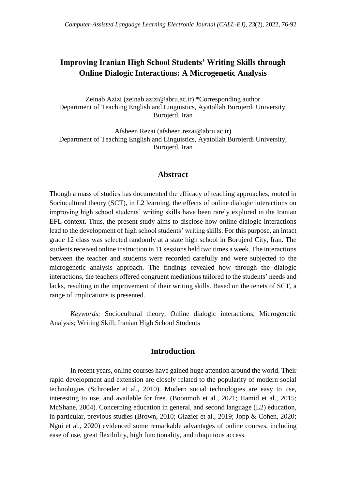# **Improving Iranian High School Students' Writing Skills through Online Dialogic Interactions: A Microgenetic Analysis**

Zeinab Azizi [\(zeinab.azizi@abru.ac.ir\)](mailto:zeinab.azizi@abru.ac.ir) \*Corresponding author Department of Teaching English and Linguistics, Ayatollah Burojerdi University, Burojerd, Iran

Afsheen Rezai (afsheen.rezai@abru.ac.ir) Department of Teaching English and Linguistics, Ayatollah Burojerdi University, Burojerd, Iran

# **Abstract**

Though a mass of studies has documented the efficacy of teaching approaches, rooted in Sociocultural theory (SCT), in L2 learning, the effects of online dialogic interactions on improving high school students' writing skills have been rarely explored in the Iranian EFL context. Thus, the present study aims to disclose how online dialogic interactions lead to the development of high school students' writing skills. For this purpose, an intact grade 12 class was selected randomly at a state high school in Borujerd City, Iran. The students received online instruction in 11 sessions held two times a week. The interactions between the teacher and students were recorded carefully and were subjected to the microgenetic analysis approach. The findings revealed how through the dialogic interactions, the teachers offered congruent mediations tailored to the students' needs and lacks, resulting in the improvement of their writing skills. Based on the tenets of SCT, a range of implications is presented.

*Keywords:* Sociocultural theory; Online dialogic interactions; Microgenetic Analysis; Writing Skill; Iranian High School Students

# **Introduction**

In recent years, online courses have gained huge attention around the world. Their rapid development and extension are closely related to the popularity of modern social technologies (Schroeder et al., 2010). Modern social technologies are easy to use, interesting to use, and available for free. (Boonmoh et al., 2021; Hamid et al., 2015; McShane, 2004). Concerning education in general, and second language (L2) education, in particular, previous studies (Brown, 2010; Glazier et al., 2019; Jopp & Cohen, 2020; Ngui et al., 2020) evidenced some remarkable advantages of online courses, including ease of use, great flexibility, high functionality, and ubiquitous access.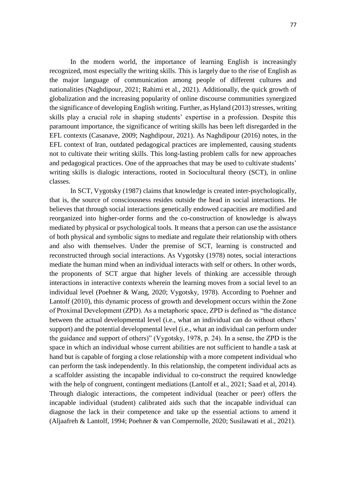In the modern world, the importance of learning English is increasingly recognized, most especially the writing skills. This is largely due to the rise of English as the major language of communication among people of different cultures and nationalities (Naghdipour, 2021; Rahimi et al., 2021). Additionally, the quick growth of globalization and the increasing popularity of online discourse communities synergized the significance of developing English writing. Further, as Hyland (2013) stresses, writing skills play a crucial role in shaping students' expertise in a profession. Despite this paramount importance, the significance of writing skills has been left disregarded in the EFL contexts (Casanave, 2009; Naghdipour, 2021). As Naghdipour (2016) notes, in the EFL context of Iran, outdated pedagogical practices are implemented, causing students not to cultivate their writing skills. This long-lasting problem calls for new approaches and pedagogical practices. One of the approaches that may be used to cultivate students' writing skills is dialogic interactions, rooted in Sociocultural theory (SCT), in online classes.

In SCT, Vygotsky (1987) claims that knowledge is created inter-psychologically, that is, the source of consciousness resides outside the head in social interactions. He believes that through social interactions genetically endowed capacities are modified and reorganized into higher-order forms and the co-construction of knowledge is always mediated by physical or psychological tools. It means that a person can use the assistance of both physical and symbolic signs to mediate and regulate their relationship with others and also with themselves. Under the premise of SCT, learning is constructed and reconstructed through social interactions. As Vygotsky (1978) notes, social interactions mediate the human mind when an individual interacts with self or others. In other words, the proponents of SCT argue that higher levels of thinking are accessible through interactions in interactive contexts wherein the learning moves from a social level to an individual level (Poehner & Wang, 2020; Vygotsky, 1978). According to Poehner and Lantolf (2010), this dynamic process of growth and development occurs within the Zone of Proximal Development (ZPD). As a metaphoric space, ZPD is defined as "the distance between the actual developmental level (i.e., what an individual can do without others' support) and the potential developmental level (i.e., what an individual can perform under the guidance and support of others)" (Vygotsky, 1978, p. 24). In a sense, the ZPD is the space in which an individual whose current abilities are not sufficient to handle a task at hand but is capable of forging a close relationship with a more competent individual who can perform the task independently. In this relationship, the competent individual acts as a scaffolder assisting the incapable individual to co-construct the required knowledge with the help of congruent, contingent mediations (Lantolf et al., 2021; Saad et al, 2014). Through dialogic interactions, the competent individual (teacher or peer) offers the incapable individual (student) calibrated aids such that the incapable individual can diagnose the lack in their competence and take up the essential actions to amend it (Aljaafreh & Lantolf, 1994; Poehner & van Compernolle, 2020; Susilawati et al., 2021).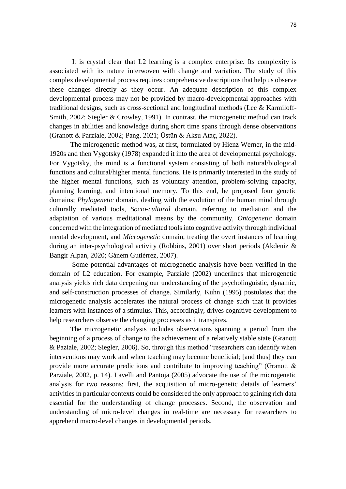It is crystal clear that L2 learning is a complex enterprise. Its complexity is associated with its nature interwoven with change and variation. The study of this complex developmental process requires comprehensive descriptions that help us observe these changes directly as they occur. An adequate description of this complex developmental process may not be provided by macro-developmental approaches with traditional designs, such as cross-sectional and longitudinal methods (Lee & Karmiloff-Smith, 2002; Siegler & Crowley, 1991). In contrast, the microgenetic method can track changes in abilities and knowledge during short time spans through dense observations (Granott & Parziale, 2002; Pang, 2021; Üstün & Aksu Ataç, 2022).

 The microgenetic method was, at first, formulated by Hienz Werner, in the mid-1920s and then Vygotsky (1978) expanded it into the area of developmental psychology. For Vygotsky, the mind is a functional system consisting of both natural/biological functions and cultural/higher mental functions. He is primarily interested in the study of the higher mental functions, such as voluntary attention, problem-solving capacity, planning learning, and intentional memory. To this end, he proposed four genetic domains; *Phylogenetic* domain, dealing with the evolution of the human mind through culturally mediated tools, *Socio-cultural* domain, referring to mediation and the adaptation of various meditational means by the community, *Ontogenetic* domain concerned with the integration of mediated tools into cognitive activity through individual mental development, and *Microgenetic* domain, treating the overt instances of learning during an inter-psychological activity (Robbins, 2001) over short periods (Akdeniz & Bangir Alpan, 2020; Gánem Gutiérrez, 2007).

 Some potential advantages of microgenetic analysis have been verified in the domain of L2 education. For example, Parziale (2002) underlines that microgenetic analysis yields rich data deepening our understanding of the psycholinguistic, dynamic, and self-construction processes of change. Similarly, Kuhn (1995) postulates that the microgenetic analysis accelerates the natural process of change such that it provides learners with instances of a stimulus. This, accordingly, drives cognitive development to help researchers observe the changing processes as it transpires.

 The microgenetic analysis includes observations spanning a period from the beginning of a process of change to the achievement of a relatively stable state (Granott & Paziale, 2002; Siegler, 2006). So, through this method "researchers can identify when interventions may work and when teaching may become beneficial; [and thus] they can provide more accurate predictions and contribute to improving teaching" (Granott & Parziale, 2002, p. 14). Lavelli and Pantoja (2005) advocate the use of the microgenetic analysis for two reasons; first, the acquisition of micro-genetic details of learners' activities in particular contexts could be considered the only approach to gaining rich data essential for the understanding of change processes. Second, the observation and understanding of micro-level changes in real-time are necessary for researchers to apprehend macro-level changes in developmental periods.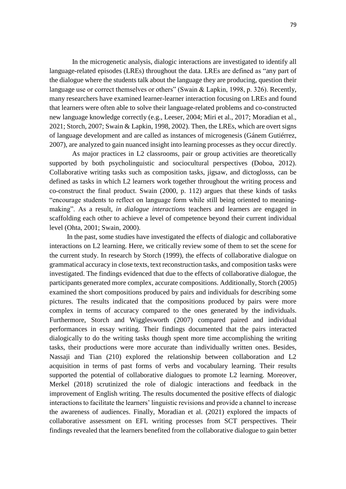In the microgenetic analysis, dialogic interactions are investigated to identify all language-related episodes (LREs) throughout the data. LREs are defined as "any part of the dialogue where the students talk about the language they are producing, question their language use or correct themselves or others" (Swain & Lapkin, 1998, p. 326). Recently, many researchers have examined learner-learner interaction focusing on LREs and found that learners were often able to solve their language-related problems and co-constructed new language knowledge correctly (e.g., Leeser, 2004; Miri et al., 2017; Moradian et al., 2021; Storch, 2007; Swain & Lapkin, 1998, 2002). Then, the LREs, which are overt signs of language development and are called as instances of microgenesis (Gánem Gutiérrez, 2007), are analyzed to gain nuanced insight into learning processes as they occur directly.

 As major practices in L2 classrooms, pair or group activities are theoretically supported by both psycholinguistic and sociocultural perspectives (Doboa, 2012). Collaborative writing tasks such as composition tasks, jigsaw, and dictoglosss, can be defined as tasks in which L2 learners work together throughout the writing process and co-construct the final product. Swain (2000, p. 112) argues that these kinds of tasks "encourage students to reflect on language form while still being oriented to meaningmaking". As a result, *in dialogue interactions* teachers and learners are engaged in scaffolding each other to achieve a level of competence beyond their current individual level (Ohta, 2001; Swain, 2000).

 In the past, some studies have investigated the effects of dialogic and collaborative interactions on L2 learning. Here, we critically review some of them to set the scene for the current study. In research by Storch (1999), the effects of collaborative dialogue on grammatical accuracy in close texts, text reconstruction tasks, and composition tasks were investigated. The findings evidenced that due to the effects of collaborative dialogue, the participants generated more complex, accurate compositions. Additionally, Storch (2005) examined the short compositions produced by pairs and individuals for describing some pictures. The results indicated that the compositions produced by pairs were more complex in terms of accuracy compared to the ones generated by the individuals. Furthermore, Storch and Wigglesworth (2007) compared paired and individual performances in essay writing. Their findings documented that the pairs interacted dialogically to do the writing tasks though spent more time accomplishing the writing tasks, their productions were more accurate than individually written ones. Besides, Nassaji and Tian (210) explored the relationship between collaboration and L2 acquisition in terms of past forms of verbs and vocabulary learning. Their results supported the potential of collaborative dialogues to promote L2 learning. Moreover, Merkel (2018) scrutinized the role of dialogic interactions and feedback in the improvement of English writing. The results documented the positive effects of dialogic interactions to facilitate the learners' linguistic revisions and provide a channel to increase the awareness of audiences. Finally, Moradian et al. (2021) explored the impacts of collaborative assessment on EFL writing processes from SCT perspectives. Their findings revealed that the learners benefited from the collaborative dialogue to gain better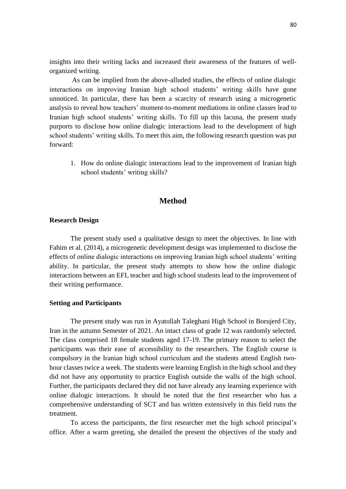insights into their writing lacks and increased their awareness of the features of wellorganized writing.

 As can be implied from the above-alluded studies, the effects of online dialogic interactions on improving Iranian high school students' writing skills have gone unnoticed. In particular, there has been a scarcity of research using a microgenetic analysis to reveal how teachers' moment-to-moment mediations in online classes lead to Iranian high school students' writing skills. To fill up this lacuna, the present study purports to disclose how online dialogic interactions lead to the development of high school students' writing skills. To meet this aim, the following research question was put forward:

1. How do online dialogic interactions lead to the improvement of Iranian high school students' writing skills?

# **Method**

### **Research Design**

The present study used a qualitative design to meet the objectives. In line with Fahim et al. (2014), a microgenetic development design was implemented to disclose the effects of online dialogic interactions on improving Iranian high school students' writing ability. In particular, the present study attempts to show how the online dialogic interactions between an EFL teacher and high school students lead to the improvement of their writing performance.

### **Setting and Participants**

The present study was run in Ayatollah Taleghani High School in Borujerd City, Iran in the autumn Semester of 2021. An intact class of grade 12 was randomly selected. The class comprised 18 female students aged 17-19. The primary reason to select the participants was their ease of accessibility to the researchers. The English course is compulsory in the Iranian high school curriculum and the students attend English twohour classes twice a week. The students were learning English in the high school and they did not have any opportunity to practice English outside the walls of the high school. Further, the participants declared they did not have already any learning experience with online dialogic interactions. It should be noted that the first researcher who has a comprehensive understanding of SCT and has written extensively in this field runs the treatment.

To access the participants, the first researcher met the high school principal's office. After a warm greeting, she detailed the present the objectives of the study and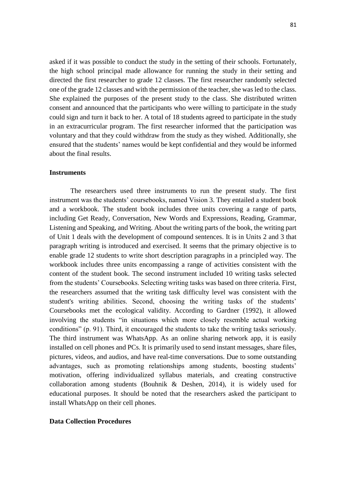asked if it was possible to conduct the study in the setting of their schools. Fortunately, the high school principal made allowance for running the study in their setting and directed the first researcher to grade 12 classes. The first researcher randomly selected one of the grade 12 classes and with the permission of the teacher, she was led to the class. She explained the purposes of the present study to the class. She distributed written consent and announced that the participants who were willing to participate in the study could sign and turn it back to her. A total of 18 students agreed to participate in the study in an extracurricular program. The first researcher informed that the participation was voluntary and that they could withdraw from the study as they wished. Additionally, she ensured that the students' names would be kept confidential and they would be informed about the final results.

### **Instruments**

The researchers used three instruments to run the present study. The first instrument was the students' coursebooks, named Vision 3. They entailed a student book and a workbook. The student book includes three units covering a range of parts, including Get Ready, Conversation, New Words and Expressions, Reading, Grammar, Listening and Speaking, and Writing. About the writing parts of the book, the writing part of Unit 1 deals with the development of compound sentences. It is in Units 2 and 3 that paragraph writing is introduced and exercised. It seems that the primary objective is to enable grade 12 students to write short description paragraphs in a principled way. The workbook includes three units encompassing a range of activities consistent with the content of the student book. The second instrument included 10 writing tasks selected from the students' Coursebooks. Selecting writing tasks was based on three criteria. First, the researchers assumed that the writing task difficulty level was consistent with the student's writing abilities. Second, choosing the writing tasks of the students' Coursebooks met the ecological validity. According to Gardner (1992), it allowed involving the students "in situations which more closely resemble actual working conditions" (p. 91). Third, it encouraged the students to take the writing tasks seriously. The third instrument was WhatsApp. As an online sharing network app, it is easily installed on cell phones and PCs. It is primarily used to send instant messages, share files, pictures, videos, and audios, and have real-time conversations. Due to some outstanding advantages, such as promoting relationships among students, boosting students' motivation, offering individualized syllabus materials, and creating constructive collaboration among students (Bouhnik & Deshen, 2014), it is widely used for educational purposes. It should be noted that the researchers asked the participant to install WhatsApp on their cell phones.

#### **Data Collection Procedures**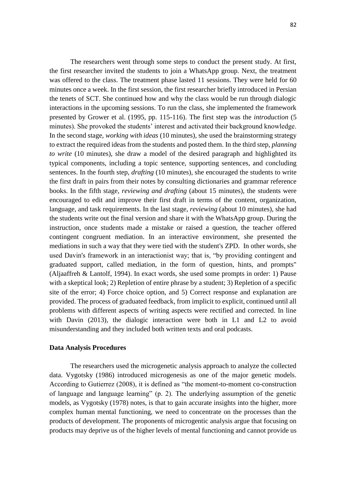82

The researchers went through some steps to conduct the present study. At first, the first researcher invited the students to join a WhatsApp group. Next, the treatment was offered to the class. The treatment phase lasted 11 sessions. They were held for 60 minutes once a week. In the first session, the first researcher briefly introduced in Persian the tenets of SCT. She continued how and why the class would be run through dialogic interactions in the upcoming sessions. To run the class, she implemented the framework presented by Grower et al. (1995, pp. 115-116). The first step was the *introduction* (5 minutes). She provoked the students' interest and activated their background knowledge. In the second stage, *working with ideas* (10 minutes), she used the brainstorming strategy to extract the required ideas from the students and posted them. In the third step, *planning to write* (10 minutes), she draw a model of the desired paragraph and highlighted its typical components, including a topic sentence, supporting sentences, and concluding sentences. In the fourth step, *drafting* (10 minutes), she encouraged the students to write the first draft in pairs from their notes by consulting dictionaries and grammar reference books. In the fifth stage, *reviewing and drafting* (about 15 minutes), the students were encouraged to edit and improve their first draft in terms of the content, organization, language, and task requirements. In the last stage, *reviewing* (about 10 minutes), she had the students write out the final version and share it with the WhatsApp group. During the instruction, once students made a mistake or raised a question, the teacher offered contingent congruent mediation. In an interactive environment, she presented the mediations in such a way that they were tied with the student's ZPD. In other words, she used Davin's framework in an interactionist way; that is, "by providing contingent and graduated support, called mediation, in the form of question, hints, and prompts" (Aljaaffreh & Lantolf, 1994). In exact words, she used some prompts in order: 1) Pause with a skeptical look; 2) Repletion of entire phrase by a student; 3) Repletion of a specific site of the error; 4) Force choice option, and 5) Correct response and explanation are provided. The process of graduated feedback, from implicit to explicit, continued until all problems with different aspects of writing aspects were rectified and corrected. In line with Davin (2013), the dialogic interaction were both in L1 and L2 to avoid misunderstanding and they included both written texts and oral podcasts.

### **Data Analysis Procedures**

The researchers used the microgenetic analysis approach to analyze the collected data. Vygotsky (1986) introduced microgenesis as one of the major genetic models. According to Gutierrez (2008), it is defined as "the moment-to-moment co-construction of language and language learning" (p. 2). The underlying assumption of the genetic models, as Vygotsky (1978) notes, is that to gain accurate insights into the higher, more complex human mental functioning, we need to concentrate on the processes than the products of development. The proponents of microgentic analysis argue that focusing on products may deprive us of the higher levels of mental functioning and cannot provide us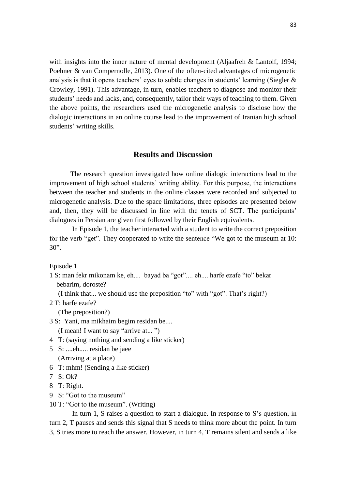with insights into the inner nature of mental development (Aljaafreh & Lantolf, 1994; Poehner & van Compernolle, 2013). One of the often-cited advantages of microgenetic analysis is that it opens teachers' eyes to subtle changes in students' learning (Siegler & Crowley, 1991). This advantage, in turn, enables teachers to diagnose and monitor their students' needs and lacks, and, consequently, tailor their ways of teaching to them. Given the above points, the researchers used the microgenetic analysis to disclose how the dialogic interactions in an online course lead to the improvement of Iranian high school students' writing skills.

## **Results and Discussion**

The research question investigated how online dialogic interactions lead to the improvement of high school students' writing ability. For this purpose, the interactions between the teacher and students in the online classes were recorded and subjected to microgenetic analysis. Due to the space limitations, three episodes are presented below and, then, they will be discussed in line with the tenets of SCT. The participants' dialogues in Persian are given first followed by their English equivalents.

 In Episode 1, the teacher interacted with a student to write the correct preposition for the verb "get". They cooperated to write the sentence "We got to the museum at 10: 30".

Episode 1

1 S: man fekr mikonam ke, eh.... bayad ba "got".... eh.... harfe ezafe "to" bekar bebarim, doroste?

(I think that... we should use the preposition "to" with "got". That's right?)

2 T: harfe ezafe?

(The preposition?)

- 3 S: Yani, ma mikhaim begim residan be.... (I mean! I want to say "arrive at... ")
- 4 T: (saying nothing and sending a like sticker)
- 5 S: ....eh..... residan be jaee (Arriving at a place)
- 6 T: mhm! (Sending a like sticker)
- 7 S: Ok?
- 8 T: Right.
- 9 S: "Got to the museum"
- 10 T: "Got to the museum". (Writing)

 In turn 1, S raises a question to start a dialogue. In response to S's question, in turn 2, T pauses and sends this signal that S needs to think more about the point. In turn 3, S tries more to reach the answer. However, in turn 4, T remains silent and sends a like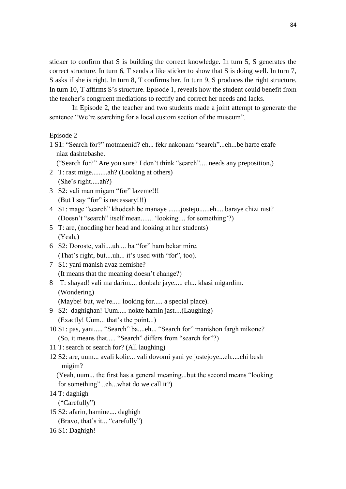sticker to confirm that S is building the correct knowledge. In turn 5, S generates the correct structure. In turn 6, T sends a like sticker to show that S is doing well. In turn 7, S asks if she is right. In turn 8, T confirms her. In turn 9, S produces the right structure. In turn 10, T affirms S's structure. Episode 1, reveals how the student could benefit from the teacher's congruent mediations to rectify and correct her needs and lacks.

 In Episode 2, the teacher and two students made a joint attempt to generate the sentence "We're searching for a local custom section of the museum".

#### Episode 2

1 S1: "Search for?" motmaenid? eh... fekr nakonam "search"...eh...be harfe ezafe niaz dashtebashe.

("Search for?" Are you sure? I don't think "search".... needs any preposition.)

- 2 T: rast mige.........ah? (Looking at others) (She's right.....ah?)
- 3 S2: vali man migam "for" lazeme!!! (But I say "for" is necessary!!!)
- 4 S1: mage "search" khodesh be manaye .......jostejo......eh.... baraye chizi nist? (Doesn't "search" itself mean....... 'looking.... for something'?)
- 5 T: are, (nodding her head and looking at her students) (Yeah,)
- 6 S2: Doroste, vali....uh.... ba "for" ham bekar mire. (That's right, but....uh... it's used with "for", too).
- 7 S1: yani manish avaz nemishe? (It means that the meaning doesn't change?)
- 8 T: shayad! vali ma darim.... donbale jaye..... eh... khasi migardim. (Wondering)

(Maybe! but, we're..... looking for..... a special place).

- 9 S2: daghighan! Uum..... nokte hamin jast....(Laughing) (Exactly! Uum... that's the point...)
- 10 S1: pas, yani..... "Search" ba....eh... "Search for" manishon fargh mikone? (So, it means that..... "Search" differs from "search for"?)
- 11 T: search or search for? (All laughing)
- 12 S2: are, uum... avali kolie... vali dovomi yani ye jostejoye...eh.....chi besh migim?

 (Yeah, uum... the first has a general meaning...but the second means "looking for something"...eh...what do we call it?)

14 T: daghigh

("Carefully")

- 15 S2: afarin, hamine.... daghigh (Bravo, that's it... "carefully")
- 16 S1: Daghigh!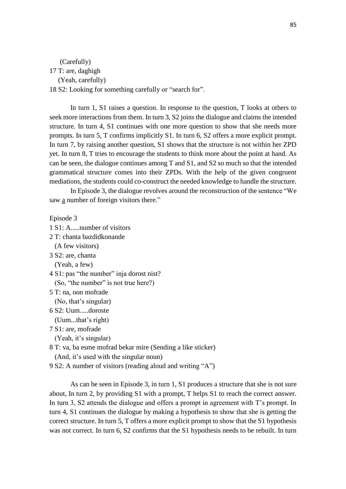# (Carefully) 17 T: are, daghigh (Yeah, carefully) 18 S2: Looking for something carefully or "search for".

In turn 1, S1 raises a question. In response to the question, T looks at others to seek more interactions from them. In turn 3, S2 joins the dialogue and claims the intended structure. In turn 4, S1 continues with one more question to show that she needs more prompts. In turn 5, T confirms implicitly S1. In turn 6, S2 offers a more explicit prompt. In turn 7, by raising another question, S1 shows that the structure is not within her ZPD yet. In turn 8, T tries to encourage the students to think more about the point at hand. As can be seen, the dialogue continues among T and S1, and S2 so much so that the intended grammatical structure comes into their ZPDs. With the help of the given congruent mediations, the students could co-construct the needed knowledge to handle the structure.

In Episode 3, the dialogue revolves around the reconstruction of the sentence "We saw a number of foreign visitors there."

Episode 3

```
1 S1: A.....number of visitors
```
2 T: chanta bazdidkonande

(A few visitors)

3 S2: are, chanta

(Yeah, a few)

4 S1: pas "the number" inja dorost nist? (So, "the number" is not true here?)

5 T: na, oon mofrade

(No, that's singular)

6 S2: Uum.....doroste

 (Uum...that's right) 7 S1: are, mofrade

(Yeah, it's singular)

8 T: va, ba esme mofrad bekar mire (Sending a like sticker)

(And, it's used with the singular noun)

9 S2: A number of visitors (reading aloud and writing "A")

As can be seen in Episode 3, in turn 1, S1 produces a structure that she is not sure about, In turn 2, by providing S1 with a prompt, T helps S1 to reach the correct answer. In turn 3, S2 attends the dialogue and offers a prompt in agreement with T's prompt. In turn 4, S1 continues the dialogue by making a hypothesis to show that she is getting the correct structure. In turn 5, T offers a more explicit prompt to show that the S1 hypothesis was not correct. In turn 6, S2 confirms that the S1 hypothesis needs to be rebuilt. In turn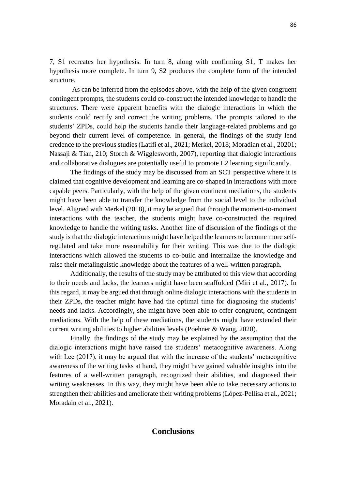7, S1 recreates her hypothesis. In turn 8, along with confirming S1, T makes her hypothesis more complete. In turn 9, S2 produces the complete form of the intended structure.

 As can be inferred from the episodes above, with the help of the given congruent contingent prompts, the students could co-construct the intended knowledge to handle the structures. There were apparent benefits with the dialogic interactions in which the students could rectify and correct the writing problems. The prompts tailored to the students' ZPDs, could help the students handle their language-related problems and go beyond their current level of competence. In general, the findings of the study lend credence to the previous studies (Latifi et al., 2021; Merkel, 2018; Moradian et al., 20201; Nassaji & Tian, 210; Storch & Wigglesworth, 2007), reporting that dialogic interactions and collaborative dialogues are potentially useful to promote L2 learning significantly.

The findings of the study may be discussed from an SCT perspective where it is claimed that cognitive development and learning are co-shaped in interactions with more capable peers. Particularly, with the help of the given continent mediations, the students might have been able to transfer the knowledge from the social level to the individual level. Aligned with Merkel (2018), it may be argued that through the moment-to-moment interactions with the teacher, the students might have co-constructed the required knowledge to handle the writing tasks. Another line of discussion of the findings of the study is that the dialogic interactions might have helped the learners to become more selfregulated and take more reasonability for their writing. This was due to the dialogic interactions which allowed the students to co-build and internalize the knowledge and raise their metalinguistic knowledge about the features of a well-written paragraph.

Additionally, the results of the study may be attributed to this view that according to their needs and lacks, the learners might have been scaffolded (Miri et al., 2017). In this regard, it may be argued that through online dialogic interactions with the students in their ZPDs, the teacher might have had the optimal time for diagnosing the students' needs and lacks. Accordingly, she might have been able to offer congruent, contingent mediations. With the help of these mediations, the students might have extended their current writing abilities to higher abilities levels (Poehner & Wang, 2020).

Finally, the findings of the study may be explained by the assumption that the dialogic interactions might have raised the students' metacognitive awareness. Along with Lee (2017), it may be argued that with the increase of the students' metacognitive awareness of the writing tasks at hand, they might have gained valuable insights into the features of a well-written paragraph, recognized their abilities, and diagnosed their writing weaknesses. In this way, they might have been able to take necessary actions to strengthen their abilities and ameliorate their writing problems (López-Pellisa et al., 2021; Moradain et al., 2021).

### **Conclusions**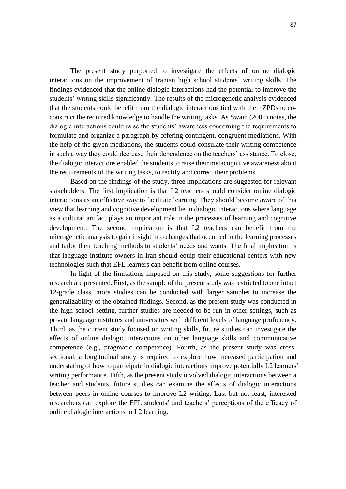The present study purported to investigate the effects of online dialogic interactions on the improvement of Iranian high school students' writing skills. The findings evidenced that the online dialogic interactions had the potential to improve the students' writing skills significantly. The results of the microgenetic analysis evidenced that the students could benefit from the dialogic interactions tied with their ZPDs to coconstruct the required knowledge to handle the writing tasks. As Swain (2006) notes, the dialogic interactions could raise the students' awareness concerning the requirements to formulate and organize a paragraph by offering contingent, congruent mediations. With the help of the given mediations, the students could consulate their writing competence in such a way they could decrease their dependence on the teachers' assistance. To close, the dialogic interactions enabled the students to raise their metacognitive awareness about the requirements of the writing tasks, to rectify and correct their problems.

Based on the findings of the study, three implications are suggested for relevant stakeholders. The first implication is that L2 teachers should consider online dialogic interactions as an effective way to facilitate learning. They should become aware of this view that learning and cognitive development lie in dialogic interactions where language as a cultural artifact plays an important role in the processes of learning and cognitive development. The second implication is that L2 teachers can benefit from the microgenetic analysis to gain insight into changes that occurred in the learning processes and tailor their teaching methods to students' needs and wants. The final implication is that language institute owners in Iran should equip their educational centers with new technologies such that EFL learners can benefit from online courses.

In light of the limitations imposed on this study, some suggestions for further research are presented. First, as the sample of the present study was restricted to one intact 12-grade class, more studies can be conducted with larger samples to increase the generalizability of the obtained findings. Second, as the present study was conducted in the high school setting, further studies are needed to be run in other settings, such as private language institutes and universities with different levels of language proficiency. Third, as the current study focused on writing skills, future studies can investigate the effects of online dialogic interactions on other language skills and communicative competence (e.g., pragmatic competence). Fourth, as the present study was crosssectional, a longitudinal study is required to explore how increased participation and understating of how to participate in dialogic interactions improve potentially L2 learners' writing performance. Fifth, as the present study involved dialogic interactions between a teacher and students, future studies can examine the effects of dialogic interactions between peers in online courses to improve L2 writing**.** Last but not least, interested researchers can explore the EFL students' and teachers' perceptions of the efficacy of online dialogic interactions in L2 learning.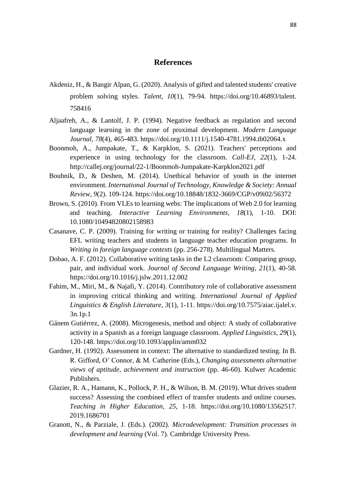# **References**

- Akdeniz, H., & Bangir Alpan, G. (2020). Analysis of gifted and talented students' creative problem solving styles. *Talent, 10*(1), 79-94. https://doi.org/10.46893/talent. 758416
- Aljaafreh, A., & Lantolf, J. P. (1994). Negative feedback as regulation and second language learning in the zone of proximal development. *Modern Language Journal, 78*(4), 465-483.<https://doi.org/10.1111/j.1540-4781.1994.tb02064.x>
- Boonmoh, A., Jumpakate, T., & Karpklon, S. (2021). Teachers' perceptions and experience in using technology for the classroom. *Call-EJ*, *22*(1), 1-24. <http://callej.org/journal/22-1/Boonmoh-Jumpakate-Karpklon2021.pdf>
- Bouhnik, D., & Deshen, M. (2014). Unethical behavior of youth in the internet environment. *International Journal of Technology, Knowledge & Society: Annual Review*, *9*(2). 109-124. <https://doi.org/10.18848/1832-3669/CGP/v09i02/56372>
- Brown, S. (2010). From VLEs to learning webs: The implications of Web 2.0 for learning and teaching. *Interactive Learning Environments, 18*(1), 1-10. DOI: 10.1080/10494820802158983
- Casanave, C. P. (2009). Training for writing or training for reality? Challenges facing EFL writing teachers and students in language teacher education programs. In *Writing in foreign language contexts* (pp. 256-278). Multilingual Matters.
- Dobao, A. F. (2012). Collaborative writing tasks in the L2 classroom: Comparing group, pair, and individual work. *Journal of Second Language Writing*, *21*(1), 40-58. <https://doi.org/10.1016/j.jslw.2011.12.002>
- Fahim, M., Miri, M., & Najafi, Y. (2014). Contributory role of collaborative assessment in improving critical thinking and writing. *International Journal of Applied Linguistics & English Literature, 3*(1), 1-11. [https://doi.org/10.7575/aiac.ijalel.v.](https://doi.org/10.7575/aiac.ijalel.v.%203n.1p.1)  [3n.1p.1](https://doi.org/10.7575/aiac.ijalel.v.%203n.1p.1)
- Gánem Gutiérrez, A. (2008). Microgenesis, method and object: A study of collaborative activity in a Spanish as a foreign language classroom. *Applied Linguistics*, *29*(1), 120-148.<https://doi.org/10.1093/applin/amm032>
- Gardner, H. (1992). Assessment in context: The alternative to standardized testing. In B. R. Gifford, O' Connor, & M. Catherine (Eds.), *Changing assessments alternative views of aptitude, achievement and instruction* (pp. 46-60). Kulwer Academic Publishers.
- Glazier, R. A., Hamann, K., Pollock, P. H., & Wilson, B. M. (2019). What drives student success? Assessing the combined effect of transfer students and online courses*. Teaching in Higher Education*, *25*, 1-18. https://doi.org/10.1080/13562517. 2019.1686701
- Granott, N., & Parziale, J. (Eds.). (2002). *Microdevelopment: Transition processes in development and learning* (Vol. 7). Cambridge University Press.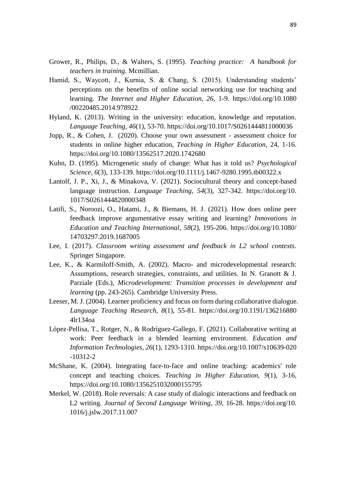- Grower, R., Philips, D., & Walters, S. (1995). *Teaching practice: A handbook for teachers in training.* Mcmillian.
- Hamid, S., Waycott, J., Kurnia, S. & Chang, S. (2015). Understanding students' perceptions on the benefits of online social networking use for teaching and learning. *The Internet and Higher Education, 26,* 1-9*.* https://doi.org/10.1080 /00220485.2014.978922
- Hyland, K. (2013). Writing in the university: education, knowledge and reputation. *Language Teaching*, *46*(1), 53-70. https://doi.org/10.1017/S0261444811000036
- Jopp, R., & Cohen, J. (2020). Choose your own assessment assessment choice for students in online higher education, *Teaching in Higher Education*, 24, 1-16. <https://doi.org/10.1080/13562517.2020.1742680>
- Kuhn, D. (1995). Microgenetic study of change: What has it told us? *Psychological Science, 6*(3), 133-139.<https://doi.org/10.1111/j.1467-9280.1995.tb00322.x>
- Lantolf, J. P., Xi, J., & Minakova, V. (2021). Sociocultural theory and concept-based language instruction. *Language Teaching*, *54*(3), 327-342. https://doi.org/10. 1017/S0261444820000348
- Latifi, S., Noroozi, O., Hatami, J., & Biemans, H. J. (2021). How does online peer feedback improve argumentative essay writing and learning? *Innovations in Education and Teaching International*, *58*(2), 195-206. https://doi.org/10.1080/ 14703297.2019.1687005
- Lee, I. (2017). *Classroom writing assessment and feedback in L2 school contexts*. Springer Singapore.
- Lee, K., & Karmiloff-Smith, A. (2002). Macro- and microdevelopmental research: Assumptions, research strategies, constraints, and utilities. In N. Granott & J. Parziale (Eds.), *Microdevelopment: Transition processes in development and learning* (pp. 243-265). Cambridge University Press.
- Leeser, M. J. (2004). Learner proficiency and focus on form during collaborative dialogue. *Language Teaching Research*, *8*(1), 55-81. https://doi.org/10.1191/136216880 4lr134oa
- López-Pellisa, T., Rotger, N., & Rodríguez-Gallego, F. (2021). Collaborative writing at work: Peer feedback in a blended learning environment. *Education and Information Technologies*, *26*(1), 1293-1310. [https://doi.org/10.1007/s10639-020](https://doi.org/10.1007/s10639-020%20-10312-2)  [-10312-2](https://doi.org/10.1007/s10639-020%20-10312-2)
- McShane, K. (2004). Integrating face-to-face and online teaching: academics' role concept and teaching choices. *Teaching in Higher Education, 9*(1), 3-16, <https://doi.org/10.1080/1356251032000155795>
- Merkel, W. (2018). Role reversals: A case study of dialogic interactions and feedback on L2 writing. *Journal of Second Language Writing*, *39*, 16-28. [https://doi.org/10.](https://doi.org/10.%201016/j.jslw.2017.11.007)  [1016/j.jslw.2017.11.007](https://doi.org/10.%201016/j.jslw.2017.11.007)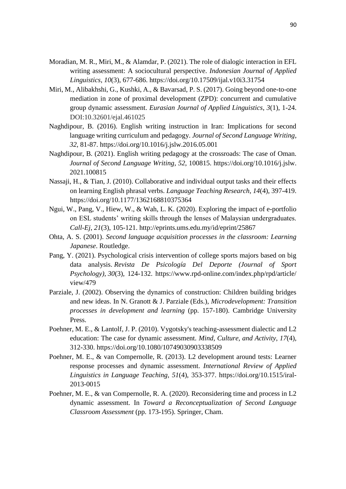- Moradian, M. R., Miri, M., & Alamdar, P. (2021). The role of dialogic interaction in EFL writing assessment: A sociocultural perspective. *Indonesian Journal of Applied Linguistics*, *10*(3), 677-686. <https://doi.org/10.17509/ijal.v10i3.31754>
- Miri, M., Alibakhshi, G., Kushki, A., & Bavarsad, P. S. (2017). Going beyond one-to-one mediation in zone of proximal development (ZPD): concurrent and cumulative group dynamic assessment. *Eurasian Journal of Applied Linguistics*, *3*(1), 1-24. DOI:10.32601/ejal.461025
- Naghdipour, B. (2016). English writing instruction in Iran: Implications for second language writing curriculum and pedagogy. *Journal of Second Language Writing*, *32*, 81-87. https://doi.org/10.1016/j.jslw.2016.05.001
- Naghdipour, B. (2021). English writing pedagogy at the crossroads: The case of Oman. *Journal of Second Language Writing*, *52*, 100815. https://doi.org/10.1016/j.jslw. 2021.100815
- Nassaji, H., & Tian, J. (2010). Collaborative and individual output tasks and their effects on learning English phrasal verbs. *Language Teaching Research*, *14*(4), 397-419. [https://doi.org/10.1177/1362168810375364](https://doi.org/10.1177%2F1362168810375364)
- Ngui, W., Pang, V., Hiew, W., & Wah, L. K. (2020). Exploring the impact of e-portfolio on ESL students' writing skills through the lenses of Malaysian undergraduates. *Call-Ej*, *21*(3), 105-121. http://eprints.ums.edu.my/id/eprint/25867
- Ohta, A. S. (2001). *Second language acquisition processes in the classroom: Learning Japanese*. Routledge.
- Pang, Y. (2021). Psychological crisis intervention of college sports majors based on big data analysis. *Revista De Psicología Del Deporte (Journal of Sport Psychology), 30*(3), 124-132. https://www.rpd-online.com/index.php/rpd/article/ view/479
- Parziale, J. (2002). Observing the dynamics of construction: Children building bridges and new ideas. In N. Granott & J. Parziale (Eds.), *Microdevelopment: Transition processes in development and learning* (pp. 157-180). Cambridge University Press.
- Poehner, M. E., & Lantolf, J. P. (2010). Vygotsky's teaching-assessment dialectic and L2 education: The case for dynamic assessment. *Mind, Culture, and Activity*, *17*(4), 312-330. <https://doi.org/10.1080/10749030903338509>
- Poehner, M. E., & van Compernolle, R. (2013). L2 development around tests: Learner response processes and dynamic assessment. *International Review of Applied Linguistics in Language Teaching, 51*(4), 353-377. [https://doi.org/10.1515/iral-](https://doi.org/10.1515/iral-2013-0015)[2013-0015](https://doi.org/10.1515/iral-2013-0015)
- Poehner, M. E., & van Compernolle, R. A. (2020). Reconsidering time and process in L2 dynamic assessment. In *Toward a Reconceptualization of Second Language Classroom Assessment* (pp. 173-195). Springer, Cham.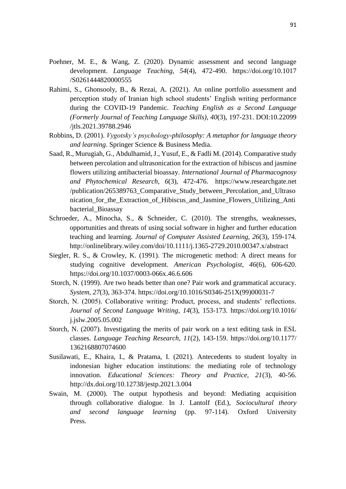- Poehner, M. E., & Wang, Z. (2020). Dynamic assessment and second language development. *Language Teaching, [54](https://www.cambridge.org/core/journals/language-teaching/volume/0BC3F9AE053EAA5A5DE437DDBCCBD3D7)*(4), 472-490. https://doi.org/10.1017 /S0261444820000555
- Rahimi, S., Ghonsooly, B., & Rezai, A. (2021). An online portfolio assessment and perception study of Iranian high school students' English writing performance during the COVID-19 Pandemic. *Teaching English as a Second Language (Formerly Journal of Teaching Language Skills)*, *40*(3), 197-231. DOI:10.22099 /jtls.2021.39788.2946
- Robbins, D. (2001). *Vygotsky's psychology-philosophy: A metaphor for language theory and learning*. Springer Science & Business Media.
- Saad, R., Murugiah, G., Abdulhamid, J., Yusuf, E., & Fadli M. (2014). Comparative study between percolation and ultrasonication for the extraction of hibiscus and jasmine flowers utilizing antibacterial bioassay. *International Journal of Pharmacognosy and Phytochemical Research, 6*(3), 472-476. https://www.researchgate.net /publication/265389763\_Comparative\_Study\_between\_Percolation\_and\_Ultraso nication for the Extraction of Hibiscus and Jasmine Flowers Utilizing Anti bacterial\_Bioassay
- Schroeder, A., Minocha, S., & Schneider, C. (2010). The strengths, weaknesses, opportunities and threats of using social software in higher and further education teaching and learning. *Journal of Computer Assisted Learning, 26*(3), 159-174. http://onlinelibrary.wiley.com/doi/10.1111/j.1365-2729.2010.00347.x/abstract
- Siegler, R. S., & Crowley, K. (1991). The microgenetic method: A direct means for studying cognitive development. *American Psychologist*, *46*(6), 606-620. <https://doi.org/10.1037/0003-066x.46.6.606>
- Storch, N. (1999). Are two heads better than one? Pair work and grammatical accuracy. *System*, *27*(3), 363-374. [https://doi.org/10.1016/S0346-251X\(99\)00031-7](https://doi.org/10.1016/S0346-251X(99)00031-7)
- Storch, N. (2005). Collaborative writing: Product, process, and students' reflections. *Journal of Second Language Writing*, *14*(3), 153-173. https://doi.org/10.1016/ j.jslw.2005.05.002
- Storch, N. (2007). Investigating the merits of pair work on a text editing task in ESL classes. *Language Teaching Research*, *11*(2), 143-159. https://doi.org/10.1177/ 1362168807074600
- Susilawati, E., Khaira, I., & Pratama, I. (2021). Antecedents to student loyalty in indonesian higher education institutions: the mediating role of technology innovation. *Educational Sciences: Theory and Practice, 21*(3), 40-56. <http://dx.doi.org/10.12738/jestp.2021.3.004>
- Swain, M. (2000). The output hypothesis and beyond: Mediating acquisition through collaborative dialogue. In J. Lantolf (Ed.), *Sociocultural theory and second language learning* (pp. 97-114). Oxford University Press.